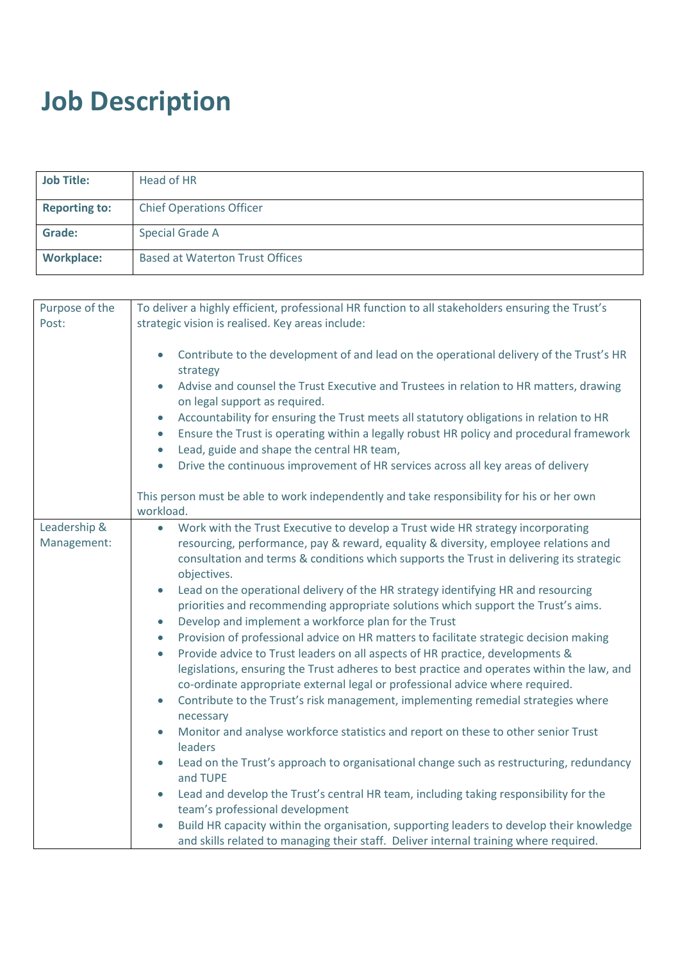## **Job Description**

| <b>Job Title:</b>    | Head of HR                             |
|----------------------|----------------------------------------|
| <b>Reporting to:</b> | <b>Chief Operations Officer</b>        |
| <b>Grade:</b>        | Special Grade A                        |
| <b>Workplace:</b>    | <b>Based at Waterton Trust Offices</b> |

| Purpose of the<br>Post: | To deliver a highly efficient, professional HR function to all stakeholders ensuring the Trust's<br>strategic vision is realised. Key areas include:                                                          |
|-------------------------|---------------------------------------------------------------------------------------------------------------------------------------------------------------------------------------------------------------|
|                         | Contribute to the development of and lead on the operational delivery of the Trust's HR<br>$\bullet$<br>strategy                                                                                              |
|                         | Advise and counsel the Trust Executive and Trustees in relation to HR matters, drawing<br>on legal support as required.                                                                                       |
|                         | Accountability for ensuring the Trust meets all statutory obligations in relation to HR<br>$\bullet$<br>Ensure the Trust is operating within a legally robust HR policy and procedural framework<br>$\bullet$ |
|                         | Lead, guide and shape the central HR team,<br>$\bullet$                                                                                                                                                       |
|                         | Drive the continuous improvement of HR services across all key areas of delivery<br>$\bullet$                                                                                                                 |
|                         | This person must be able to work independently and take responsibility for his or her own<br>workload.                                                                                                        |
| Leadership &            | Work with the Trust Executive to develop a Trust wide HR strategy incorporating<br>$\bullet$                                                                                                                  |
| Management:             | resourcing, performance, pay & reward, equality & diversity, employee relations and                                                                                                                           |
|                         | consultation and terms & conditions which supports the Trust in delivering its strategic                                                                                                                      |
|                         | objectives.                                                                                                                                                                                                   |
|                         | Lead on the operational delivery of the HR strategy identifying HR and resourcing<br>$\bullet$                                                                                                                |
|                         | priorities and recommending appropriate solutions which support the Trust's aims.                                                                                                                             |
|                         | Develop and implement a workforce plan for the Trust<br>$\bullet$                                                                                                                                             |
|                         | Provision of professional advice on HR matters to facilitate strategic decision making<br>$\bullet$                                                                                                           |
|                         | Provide advice to Trust leaders on all aspects of HR practice, developments &<br>$\bullet$                                                                                                                    |
|                         | legislations, ensuring the Trust adheres to best practice and operates within the law, and<br>co-ordinate appropriate external legal or professional advice where required.                                   |
|                         | Contribute to the Trust's risk management, implementing remedial strategies where<br>$\bullet$                                                                                                                |
|                         | necessary                                                                                                                                                                                                     |
|                         | Monitor and analyse workforce statistics and report on these to other senior Trust<br>$\bullet$<br>leaders                                                                                                    |
|                         | Lead on the Trust's approach to organisational change such as restructuring, redundancy<br>$\bullet$<br>and TUPE                                                                                              |
|                         | Lead and develop the Trust's central HR team, including taking responsibility for the<br>$\bullet$                                                                                                            |
|                         | team's professional development                                                                                                                                                                               |
|                         | Build HR capacity within the organisation, supporting leaders to develop their knowledge                                                                                                                      |
|                         | and skills related to managing their staff. Deliver internal training where required.                                                                                                                         |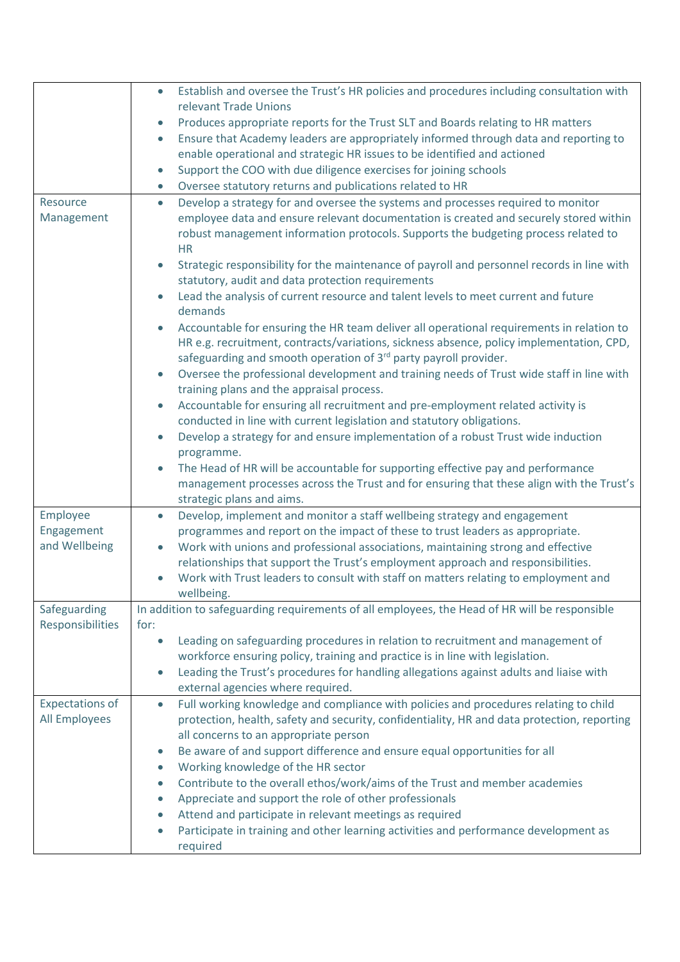|                        | Establish and oversee the Trust's HR policies and procedures including consultation with<br>$\bullet$                                                                                |
|------------------------|--------------------------------------------------------------------------------------------------------------------------------------------------------------------------------------|
|                        | relevant Trade Unions                                                                                                                                                                |
|                        | Produces appropriate reports for the Trust SLT and Boards relating to HR matters<br>$\bullet$                                                                                        |
|                        | Ensure that Academy leaders are appropriately informed through data and reporting to<br>$\bullet$                                                                                    |
|                        | enable operational and strategic HR issues to be identified and actioned                                                                                                             |
|                        | Support the COO with due diligence exercises for joining schools<br>$\bullet$                                                                                                        |
|                        | Oversee statutory returns and publications related to HR<br>$\bullet$                                                                                                                |
| Resource               | Develop a strategy for and oversee the systems and processes required to monitor<br>$\bullet$                                                                                        |
| Management             | employee data and ensure relevant documentation is created and securely stored within                                                                                                |
|                        | robust management information protocols. Supports the budgeting process related to<br><b>HR</b>                                                                                      |
|                        | Strategic responsibility for the maintenance of payroll and personnel records in line with<br>$\bullet$                                                                              |
|                        | statutory, audit and data protection requirements                                                                                                                                    |
|                        | Lead the analysis of current resource and talent levels to meet current and future<br>$\bullet$<br>demands                                                                           |
|                        |                                                                                                                                                                                      |
|                        | Accountable for ensuring the HR team deliver all operational requirements in relation to<br>HR e.g. recruitment, contracts/variations, sickness absence, policy implementation, CPD, |
|                        | safeguarding and smooth operation of 3 <sup>rd</sup> party payroll provider.                                                                                                         |
|                        | Oversee the professional development and training needs of Trust wide staff in line with<br>$\bullet$                                                                                |
|                        | training plans and the appraisal process.                                                                                                                                            |
|                        | Accountable for ensuring all recruitment and pre-employment related activity is<br>$\bullet$                                                                                         |
|                        | conducted in line with current legislation and statutory obligations.                                                                                                                |
|                        | Develop a strategy for and ensure implementation of a robust Trust wide induction<br>$\bullet$                                                                                       |
|                        | programme.                                                                                                                                                                           |
|                        | The Head of HR will be accountable for supporting effective pay and performance<br>$\bullet$                                                                                         |
|                        | management processes across the Trust and for ensuring that these align with the Trust's                                                                                             |
|                        | strategic plans and aims.                                                                                                                                                            |
| Employee               | Develop, implement and monitor a staff wellbeing strategy and engagement<br>$\bullet$                                                                                                |
| Engagement             | programmes and report on the impact of these to trust leaders as appropriate.                                                                                                        |
| and Wellbeing          | Work with unions and professional associations, maintaining strong and effective                                                                                                     |
|                        | relationships that support the Trust's employment approach and responsibilities.                                                                                                     |
|                        | Work with Trust leaders to consult with staff on matters relating to employment and                                                                                                  |
|                        | wellbeing.                                                                                                                                                                           |
| Safeguarding           | In addition to safeguarding requirements of all employees, the Head of HR will be responsible                                                                                        |
| Responsibilities       | for:                                                                                                                                                                                 |
|                        | Leading on safeguarding procedures in relation to recruitment and management of<br>$\bullet$                                                                                         |
|                        | workforce ensuring policy, training and practice is in line with legislation.                                                                                                        |
|                        | Leading the Trust's procedures for handling allegations against adults and liaise with<br>$\bullet$<br>external agencies where required.                                             |
| <b>Expectations of</b> | Full working knowledge and compliance with policies and procedures relating to child<br>$\bullet$                                                                                    |
| All Employees          | protection, health, safety and security, confidentiality, HR and data protection, reporting                                                                                          |
|                        | all concerns to an appropriate person                                                                                                                                                |
|                        | Be aware of and support difference and ensure equal opportunities for all<br>$\bullet$                                                                                               |
|                        | Working knowledge of the HR sector<br>$\bullet$                                                                                                                                      |
|                        | Contribute to the overall ethos/work/aims of the Trust and member academies<br>$\bullet$                                                                                             |
|                        | Appreciate and support the role of other professionals<br>$\bullet$                                                                                                                  |
|                        | Attend and participate in relevant meetings as required<br>$\bullet$                                                                                                                 |
|                        | Participate in training and other learning activities and performance development as<br>$\bullet$                                                                                    |
|                        | required                                                                                                                                                                             |